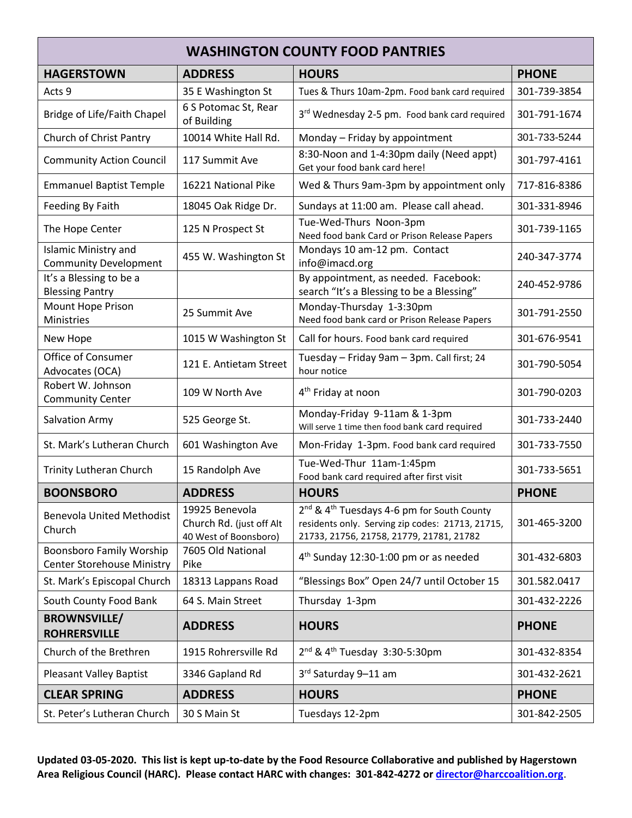| <b>WASHINGTON COUNTY FOOD PANTRIES</b>                               |                                                                     |                                                                                                                                                                    |              |  |  |
|----------------------------------------------------------------------|---------------------------------------------------------------------|--------------------------------------------------------------------------------------------------------------------------------------------------------------------|--------------|--|--|
| <b>HAGERSTOWN</b>                                                    | <b>ADDRESS</b>                                                      | <b>HOURS</b>                                                                                                                                                       | <b>PHONE</b> |  |  |
| Acts 9                                                               | 35 E Washington St                                                  | Tues & Thurs 10am-2pm. Food bank card required                                                                                                                     | 301-739-3854 |  |  |
| Bridge of Life/Faith Chapel                                          | 6 S Potomac St, Rear<br>of Building                                 | 3rd Wednesday 2-5 pm. Food bank card required                                                                                                                      | 301-791-1674 |  |  |
| Church of Christ Pantry                                              | 10014 White Hall Rd.                                                | Monday - Friday by appointment                                                                                                                                     | 301-733-5244 |  |  |
| <b>Community Action Council</b>                                      | 117 Summit Ave                                                      | 8:30-Noon and 1-4:30pm daily (Need appt)<br>Get your food bank card here!                                                                                          | 301-797-4161 |  |  |
| <b>Emmanuel Baptist Temple</b>                                       | 16221 National Pike                                                 | Wed & Thurs 9am-3pm by appointment only                                                                                                                            | 717-816-8386 |  |  |
| Feeding By Faith                                                     | 18045 Oak Ridge Dr.                                                 | Sundays at 11:00 am. Please call ahead.                                                                                                                            | 301-331-8946 |  |  |
| The Hope Center                                                      | 125 N Prospect St                                                   | Tue-Wed-Thurs Noon-3pm<br>Need food bank Card or Prison Release Papers                                                                                             | 301-739-1165 |  |  |
| <b>Islamic Ministry and</b><br><b>Community Development</b>          | 455 W. Washington St                                                | Mondays 10 am-12 pm. Contact<br>info@imacd.org                                                                                                                     | 240-347-3774 |  |  |
| It's a Blessing to be a<br><b>Blessing Pantry</b>                    |                                                                     | By appointment, as needed. Facebook:<br>search "It's a Blessing to be a Blessing"                                                                                  | 240-452-9786 |  |  |
| <b>Mount Hope Prison</b><br>Ministries                               | 25 Summit Ave                                                       | Monday-Thursday 1-3:30pm<br>Need food bank card or Prison Release Papers                                                                                           | 301-791-2550 |  |  |
| New Hope                                                             | 1015 W Washington St                                                | Call for hours. Food bank card required                                                                                                                            | 301-676-9541 |  |  |
| Office of Consumer<br>Advocates (OCA)                                | 121 E. Antietam Street                                              | Tuesday - Friday 9am - 3pm. Call first; 24<br>hour notice                                                                                                          | 301-790-5054 |  |  |
| Robert W. Johnson<br><b>Community Center</b>                         | 109 W North Ave                                                     | 4 <sup>th</sup> Friday at noon                                                                                                                                     | 301-790-0203 |  |  |
| Salvation Army                                                       | 525 George St.                                                      | Monday-Friday 9-11am & 1-3pm<br>Will serve 1 time then food bank card required                                                                                     | 301-733-2440 |  |  |
| St. Mark's Lutheran Church                                           | 601 Washington Ave                                                  | Mon-Friday 1-3pm. Food bank card required                                                                                                                          | 301-733-7550 |  |  |
| <b>Trinity Lutheran Church</b>                                       | 15 Randolph Ave                                                     | Tue-Wed-Thur 11am-1:45pm<br>Food bank card required after first visit                                                                                              | 301-733-5651 |  |  |
| <b>BOONSBORO</b>                                                     | <b>ADDRESS</b>                                                      | <b>HOURS</b>                                                                                                                                                       | <b>PHONE</b> |  |  |
| <b>Benevola United Methodist</b><br>Church                           | 19925 Benevola<br>Church Rd. (just off Alt<br>40 West of Boonsboro) | 2 <sup>nd</sup> & 4 <sup>th</sup> Tuesdays 4-6 pm for South County<br>residents only. Serving zip codes: 21713, 21715,<br>21733, 21756, 21758, 21779, 21781, 21782 | 301-465-3200 |  |  |
| <b>Boonsboro Family Worship</b><br><b>Center Storehouse Ministry</b> | 7605 Old National<br>Pike                                           | 4 <sup>th</sup> Sunday 12:30-1:00 pm or as needed                                                                                                                  | 301-432-6803 |  |  |
| St. Mark's Episcopal Church                                          | 18313 Lappans Road                                                  | "Blessings Box" Open 24/7 until October 15                                                                                                                         | 301.582.0417 |  |  |
| South County Food Bank                                               | 64 S. Main Street                                                   | Thursday 1-3pm                                                                                                                                                     | 301-432-2226 |  |  |
| <b>BROWNSVILLE/</b><br><b>ROHRERSVILLE</b>                           | <b>ADDRESS</b>                                                      | <b>HOURS</b>                                                                                                                                                       | <b>PHONE</b> |  |  |
| Church of the Brethren                                               | 1915 Rohrersville Rd                                                | $2^{nd}$ & 4 <sup>th</sup> Tuesday 3:30-5:30pm                                                                                                                     | 301-432-8354 |  |  |
| <b>Pleasant Valley Baptist</b>                                       | 3346 Gapland Rd                                                     | 3rd Saturday 9-11 am                                                                                                                                               | 301-432-2621 |  |  |
| <b>CLEAR SPRING</b>                                                  | <b>ADDRESS</b>                                                      | <b>HOURS</b>                                                                                                                                                       | <b>PHONE</b> |  |  |
| St. Peter's Lutheran Church                                          | 30 S Main St                                                        | Tuesdays 12-2pm                                                                                                                                                    | 301-842-2505 |  |  |

**Updated 03-05-2020. This list is kept up-to-date by the Food Resource Collaborative and published by Hagerstown Area Religious Council (HARC). Please contact HARC with changes: 301-842-4272 or [director@harccoalition.org](mailto:director@harccoalition.org)**.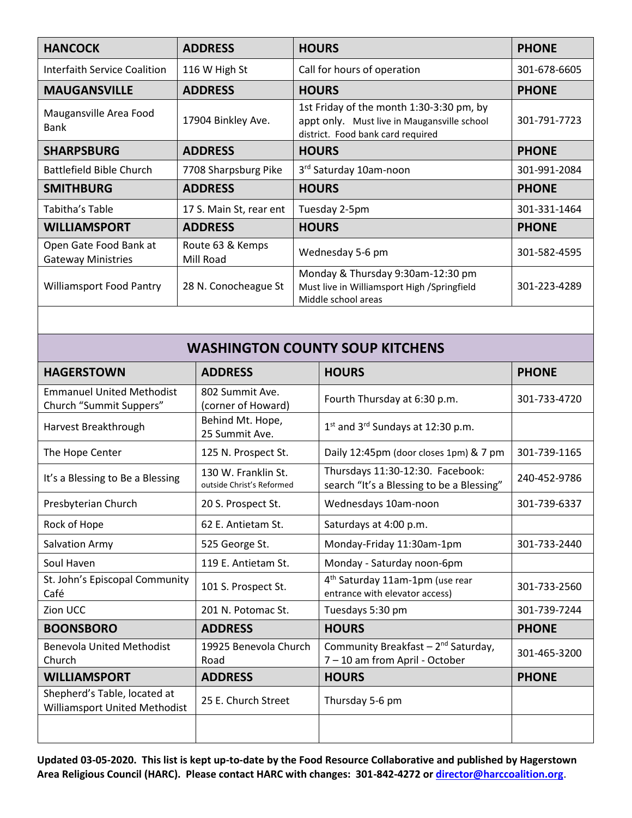| <b>HANCOCK</b>                                      | <b>ADDRESS</b>                | <b>HOURS</b>                                                                                                                 | <b>PHONE</b> |
|-----------------------------------------------------|-------------------------------|------------------------------------------------------------------------------------------------------------------------------|--------------|
| Interfaith Service Coalition                        | 116 W High St                 | Call for hours of operation                                                                                                  | 301-678-6605 |
| <b>MAUGANSVILLE</b>                                 | <b>ADDRESS</b>                | <b>HOURS</b>                                                                                                                 | <b>PHONE</b> |
| Maugansville Area Food<br><b>Bank</b>               | 17904 Binkley Ave.            | 1st Friday of the month 1:30-3:30 pm, by<br>appt only. Must live in Maugansville school<br>district. Food bank card required | 301-791-7723 |
| <b>SHARPSBURG</b>                                   | <b>ADDRESS</b>                | <b>HOURS</b>                                                                                                                 | <b>PHONE</b> |
| Battlefield Bible Church                            | 7708 Sharpsburg Pike          | 3rd Saturday 10am-noon                                                                                                       | 301-991-2084 |
| <b>SMITHBURG</b>                                    | <b>ADDRESS</b>                | <b>HOURS</b>                                                                                                                 | <b>PHONE</b> |
| Tabitha's Table                                     | 17 S. Main St, rear ent       | Tuesday 2-5pm                                                                                                                | 301-331-1464 |
| <b>WILLIAMSPORT</b>                                 | <b>ADDRESS</b>                | <b>HOURS</b>                                                                                                                 | <b>PHONE</b> |
| Open Gate Food Bank at<br><b>Gateway Ministries</b> | Route 63 & Kemps<br>Mill Road | Wednesday 5-6 pm                                                                                                             | 301-582-4595 |
| <b>Williamsport Food Pantry</b>                     | 28 N. Conocheague St          | Monday & Thursday 9:30am-12:30 pm<br>Must live in Williamsport High /Springfield<br>Middle school areas                      | 301-223-4289 |

## **WASHINGTON COUNTY SOUP KITCHENS**

| <b>HAGERSTOWN</b>                                             | <b>ADDRESS</b>                                   | <b>HOURS</b>                                                                      | <b>PHONE</b> |
|---------------------------------------------------------------|--------------------------------------------------|-----------------------------------------------------------------------------------|--------------|
| <b>Emmanuel United Methodist</b><br>Church "Summit Suppers"   | 802 Summit Ave.<br>(corner of Howard)            | Fourth Thursday at 6:30 p.m.                                                      | 301-733-4720 |
| Harvest Breakthrough                                          | Behind Mt. Hope,<br>25 Summit Ave.               | $1st$ and $3rd$ Sundays at 12:30 p.m.                                             |              |
| The Hope Center                                               | 125 N. Prospect St.                              | Daily 12:45pm (door closes 1pm) & 7 pm                                            | 301-739-1165 |
| It's a Blessing to Be a Blessing                              | 130 W. Franklin St.<br>outside Christ's Reformed | Thursdays 11:30-12:30. Facebook:<br>search "It's a Blessing to be a Blessing"     | 240-452-9786 |
| Presbyterian Church                                           | 20 S. Prospect St.                               | Wednesdays 10am-noon                                                              | 301-739-6337 |
| Rock of Hope                                                  | 62 E. Antietam St.                               | Saturdays at 4:00 p.m.                                                            |              |
| Salvation Army                                                | 525 George St.                                   | Monday-Friday 11:30am-1pm                                                         | 301-733-2440 |
| Soul Haven                                                    | 119 E. Antietam St.                              | Monday - Saturday noon-6pm                                                        |              |
| St. John's Episcopal Community<br>Café                        | 101 S. Prospect St.                              | 4 <sup>th</sup> Saturday 11am-1pm (use rear<br>entrance with elevator access)     | 301-733-2560 |
| Zion UCC                                                      | 201 N. Potomac St.                               | Tuesdays 5:30 pm                                                                  | 301-739-7244 |
| <b>BOONSBORO</b>                                              | <b>ADDRESS</b>                                   | <b>HOURS</b>                                                                      | <b>PHONE</b> |
| <b>Benevola United Methodist</b><br>Church                    | 19925 Benevola Church<br>Road                    | Community Breakfast - 2 <sup>nd</sup> Saturday,<br>7 - 10 am from April - October | 301-465-3200 |
| <b>WILLIAMSPORT</b>                                           | <b>ADDRESS</b>                                   | <b>HOURS</b>                                                                      | <b>PHONE</b> |
| Shepherd's Table, located at<br>Williamsport United Methodist | 25 E. Church Street                              | Thursday 5-6 pm                                                                   |              |
|                                                               |                                                  |                                                                                   |              |

**Updated 03-05-2020. This list is kept up-to-date by the Food Resource Collaborative and published by Hagerstown Area Religious Council (HARC). Please contact HARC with changes: 301-842-4272 or [director@harccoalition.org](mailto:director@harccoalition.org)**.